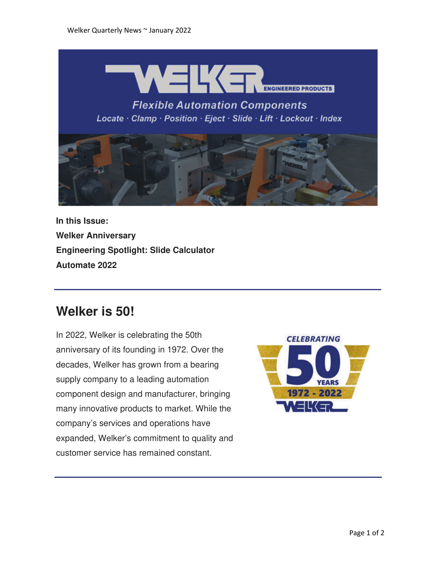

**Flexible Automation Components** Locate · Clamp · Position · Eject · Slide · Lift · Lockout · Index



**In this Issue: Welker Anniversary Engineering Spotlight: Slide Calculator Automate 2022**

## **Welker is 50!**

In 2022, Welker is celebrating the 50th anniversary of its founding in 1972. Over the decades, Welker has grown from a bearing supply company to a leading automation component design and manufacturer, bringing many innovative products to market. While the company's services and operations have expanded, Welker's commitment to quality and customer service has remained constant.